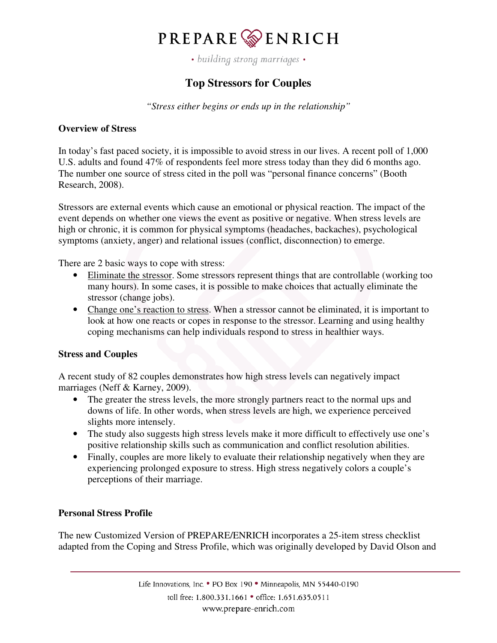• building strong marriages •

### **Top Stressors for Couples**

*"Stress either begins or ends up in the relationship"* 

#### **Overview of Stress**

In today's fast paced society, it is impossible to avoid stress in our lives. A recent poll of 1,000 U.S. adults and found 47% of respondents feel more stress today than they did 6 months ago. The number one source of stress cited in the poll was "personal finance concerns" (Booth Research, 2008).

Stressors are external events which cause an emotional or physical reaction. The impact of the event depends on whether one views the event as positive or negative. When stress levels are high or chronic, it is common for physical symptoms (headaches, backaches), psychological symptoms (anxiety, anger) and relational issues (conflict, disconnection) to emerge.

There are 2 basic ways to cope with stress:

- Eliminate the stressor. Some stressors represent things that are controllable (working too many hours). In some cases, it is possible to make choices that actually eliminate the stressor (change jobs).
- Change one's reaction to stress. When a stressor cannot be eliminated, it is important to look at how one reacts or copes in response to the stressor. Learning and using healthy coping mechanisms can help individuals respond to stress in healthier ways.

#### **Stress and Couples**

A recent study of 82 couples demonstrates how high stress levels can negatively impact marriages (Neff & Karney, 2009).

- The greater the stress levels, the more strongly partners react to the normal ups and downs of life. In other words, when stress levels are high, we experience perceived slights more intensely.
- The study also suggests high stress levels make it more difficult to effectively use one's positive relationship skills such as communication and conflict resolution abilities.
- Finally, couples are more likely to evaluate their relationship negatively when they are experiencing prolonged exposure to stress. High stress negatively colors a couple's perceptions of their marriage.

#### **Personal Stress Profile**

The new Customized Version of PREPARE/ENRICH incorporates a 25-item stress checklist adapted from the Coping and Stress Profile, which was originally developed by David Olson and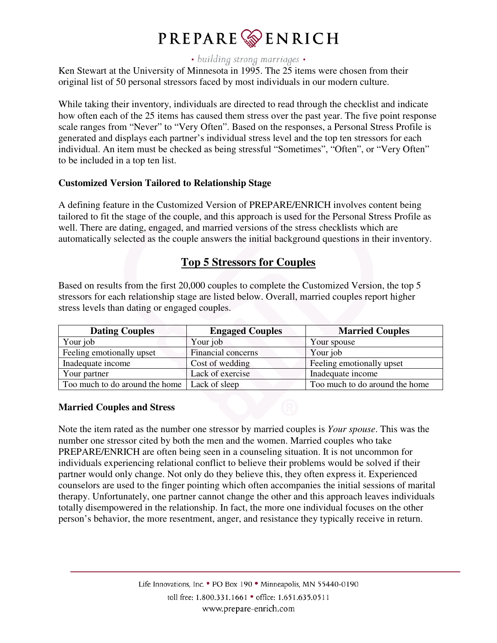#### • building strong marriages •

Ken Stewart at the University of Minnesota in 1995. The 25 items were chosen from their original list of 50 personal stressors faced by most individuals in our modern culture.

While taking their inventory, individuals are directed to read through the checklist and indicate how often each of the 25 items has caused them stress over the past year. The five point response scale ranges from "Never" to "Very Often". Based on the responses, a Personal Stress Profile is generated and displays each partner's individual stress level and the top ten stressors for each individual. An item must be checked as being stressful "Sometimes", "Often", or "Very Often" to be included in a top ten list.

#### **Customized Version Tailored to Relationship Stage**

A defining feature in the Customized Version of PREPARE/ENRICH involves content being tailored to fit the stage of the couple, and this approach is used for the Personal Stress Profile as well. There are dating, engaged, and married versions of the stress checklists which are automatically selected as the couple answers the initial background questions in their inventory.

### **Top 5 Stressors for Couples**

Based on results from the first 20,000 couples to complete the Customized Version, the top 5 stressors for each relationship stage are listed below. Overall, married couples report higher stress levels than dating or engaged couples.

| <b>Dating Couples</b>                          | <b>Engaged Couples</b> | <b>Married Couples</b>         |
|------------------------------------------------|------------------------|--------------------------------|
| Your job                                       | Your job               | Your spouse                    |
| Feeling emotionally upset                      | Financial concerns     | Your job                       |
| Inadequate income                              | Cost of wedding        | Feeling emotionally upset      |
| Your partner                                   | Lack of exercise       | Inadequate income              |
| Too much to do around the home   Lack of sleep |                        | Too much to do around the home |

#### **Married Couples and Stress**

Note the item rated as the number one stressor by married couples is *Your spouse*. This was the number one stressor cited by both the men and the women. Married couples who take PREPARE/ENRICH are often being seen in a counseling situation. It is not uncommon for individuals experiencing relational conflict to believe their problems would be solved if their partner would only change. Not only do they believe this, they often express it. Experienced counselors are used to the finger pointing which often accompanies the initial sessions of marital therapy. Unfortunately, one partner cannot change the other and this approach leaves individuals totally disempowered in the relationship. In fact, the more one individual focuses on the other person's behavior, the more resentment, anger, and resistance they typically receive in return.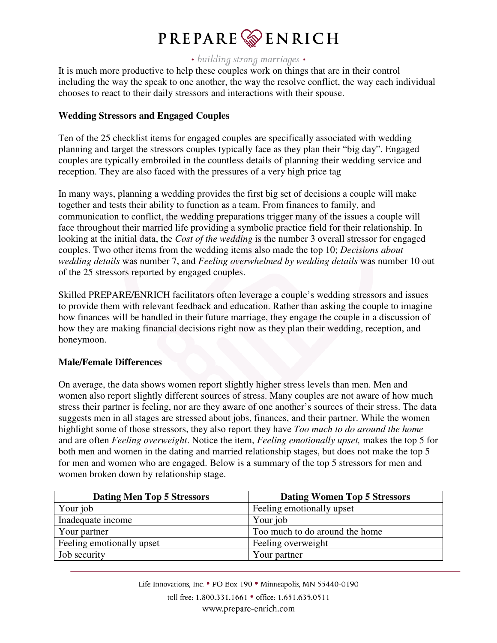#### • building strong marriages •

It is much more productive to help these couples work on things that are in their control including the way the speak to one another, the way the resolve conflict, the way each individual chooses to react to their daily stressors and interactions with their spouse.

#### **Wedding Stressors and Engaged Couples**

Ten of the 25 checklist items for engaged couples are specifically associated with wedding planning and target the stressors couples typically face as they plan their "big day". Engaged couples are typically embroiled in the countless details of planning their wedding service and reception. They are also faced with the pressures of a very high price tag

In many ways, planning a wedding provides the first big set of decisions a couple will make together and tests their ability to function as a team. From finances to family, and communication to conflict, the wedding preparations trigger many of the issues a couple will face throughout their married life providing a symbolic practice field for their relationship. In looking at the initial data, the *Cost of the wedding* is the number 3 overall stressor for engaged couples. Two other items from the wedding items also made the top 10; *Decisions about wedding details* was number 7, and *Feeling overwhelmed by wedding details* was number 10 out of the 25 stressors reported by engaged couples.

Skilled PREPARE/ENRICH facilitators often leverage a couple's wedding stressors and issues to provide them with relevant feedback and education. Rather than asking the couple to imagine how finances will be handled in their future marriage, they engage the couple in a discussion of how they are making financial decisions right now as they plan their wedding, reception, and honeymoon.

#### **Male/Female Differences**

On average, the data shows women report slightly higher stress levels than men. Men and women also report slightly different sources of stress. Many couples are not aware of how much stress their partner is feeling, nor are they aware of one another's sources of their stress. The data suggests men in all stages are stressed about jobs, finances, and their partner. While the women highlight some of those stressors, they also report they have *Too much to do around the home* and are often *Feeling overweight*. Notice the item, *Feeling emotionally upset,* makes the top 5 for both men and women in the dating and married relationship stages, but does not make the top 5 for men and women who are engaged. Below is a summary of the top 5 stressors for men and women broken down by relationship stage.

| <b>Dating Men Top 5 Stressors</b> | <b>Dating Women Top 5 Stressors</b> |
|-----------------------------------|-------------------------------------|
| Your job                          | Feeling emotionally upset           |
| Inadequate income                 | Your job                            |
| Your partner                      | Too much to do around the home      |
| Feeling emotionally upset         | Feeling overweight                  |
| Job security                      | Your partner                        |

Life Innovations, Inc. . PO Box 190 . Minneapolis, MN 55440-0190 toll free: 1.800.331.1661 • office: 1.651.635.0511 www.prepare-enrich.com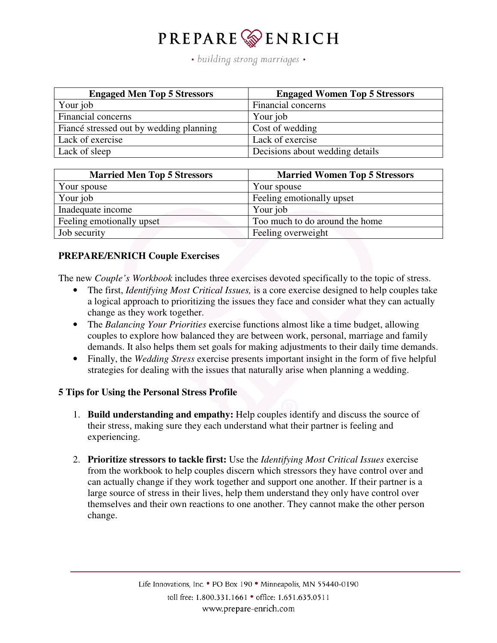• building strong marriages •

| <b>Engaged Men Top 5 Stressors</b>      | <b>Engaged Women Top 5 Stressors</b> |
|-----------------------------------------|--------------------------------------|
| Your job                                | Financial concerns                   |
| Financial concerns                      | Your job                             |
| Fiancé stressed out by wedding planning | Cost of wedding                      |
| Lack of exercise                        | Lack of exercise                     |
| Lack of sleep                           | Decisions about wedding details      |

| <b>Married Men Top 5 Stressors</b> | <b>Married Women Top 5 Stressors</b> |
|------------------------------------|--------------------------------------|
| Your spouse                        | Your spouse                          |
| Your job                           | Feeling emotionally upset            |
| Inadequate income                  | Your job                             |
| Feeling emotionally upset          | Too much to do around the home       |
| Job security                       | Feeling overweight                   |

#### **PREPARE/ENRICH Couple Exercises**

The new *Couple's Workbook* includes three exercises devoted specifically to the topic of stress.

- The first, *Identifying Most Critical Issues,* is a core exercise designed to help couples take a logical approach to prioritizing the issues they face and consider what they can actually change as they work together.
- The *Balancing Your Priorities* exercise functions almost like a time budget, allowing couples to explore how balanced they are between work, personal, marriage and family demands. It also helps them set goals for making adjustments to their daily time demands.
- Finally, the *Wedding Stress* exercise presents important insight in the form of five helpful strategies for dealing with the issues that naturally arise when planning a wedding.

#### **5 Tips for Using the Personal Stress Profile**

- 1. **Build understanding and empathy:** Help couples identify and discuss the source of their stress, making sure they each understand what their partner is feeling and experiencing.
- 2. **Prioritize stressors to tackle first:** Use the *Identifying Most Critical Issues* exercise from the workbook to help couples discern which stressors they have control over and can actually change if they work together and support one another. If their partner is a large source of stress in their lives, help them understand they only have control over themselves and their own reactions to one another. They cannot make the other person change.